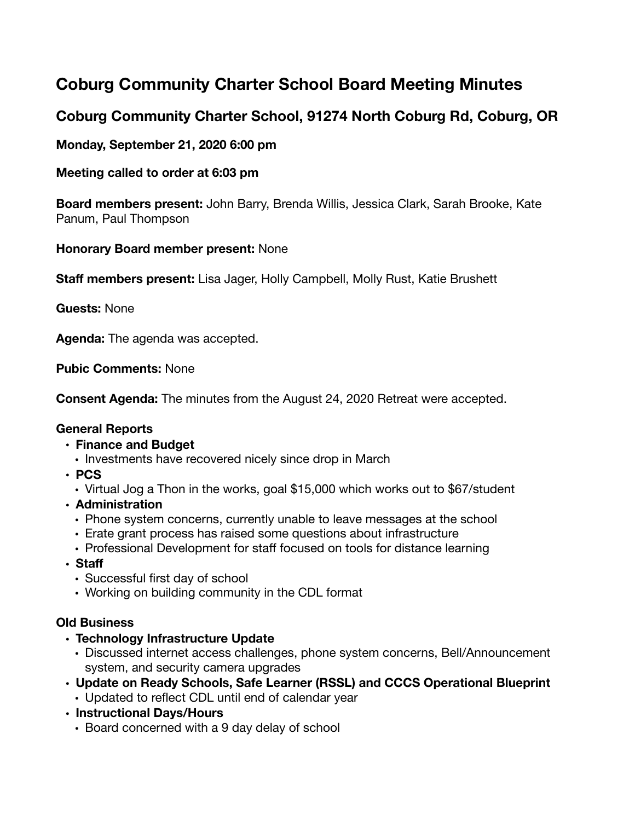# **Coburg Community Charter School Board Meeting Minutes**

## **Coburg Community Charter School, 91274 North Coburg Rd, Coburg, OR**

## **Monday, September 21, 2020 6:00 pm**

## **Meeting called to order at 6:03 pm**

**Board members present:** John Barry, Brenda Willis, Jessica Clark, Sarah Brooke, Kate Panum, Paul Thompson

## **Honorary Board member present:** None

**Staff members present:** Lisa Jager, Holly Campbell, Molly Rust, Katie Brushett

## **Guests:** None

**Agenda:** The agenda was accepted.

**Pubic Comments:** None

**Consent Agenda:** The minutes from the August 24, 2020 Retreat were accepted.

### **General Reports**

### **• Finance and Budget**

- Investments have recovered nicely since drop in March
- **• PCS** 
	- Virtual Jog a Thon in the works, goal \$15,000 which works out to \$67/student
- **• Administration** 
	- Phone system concerns, currently unable to leave messages at the school
	- Erate grant process has raised some questions about infrastructure
	- Professional Development for staff focused on tools for distance learning
- **• Staff**
	- Successful first day of school
	- Working on building community in the CDL format

### **Old Business**

- **• Technology Infrastructure Update** 
	- Discussed internet access challenges, phone system concerns, Bell/Announcement system, and security camera upgrades
- **• Update on Ready Schools, Safe Learner (RSSL) and CCCS Operational Blueprint**  • Updated to reflect CDL until end of calendar year
- **• Instructional Days/Hours** 
	- Board concerned with a 9 day delay of school